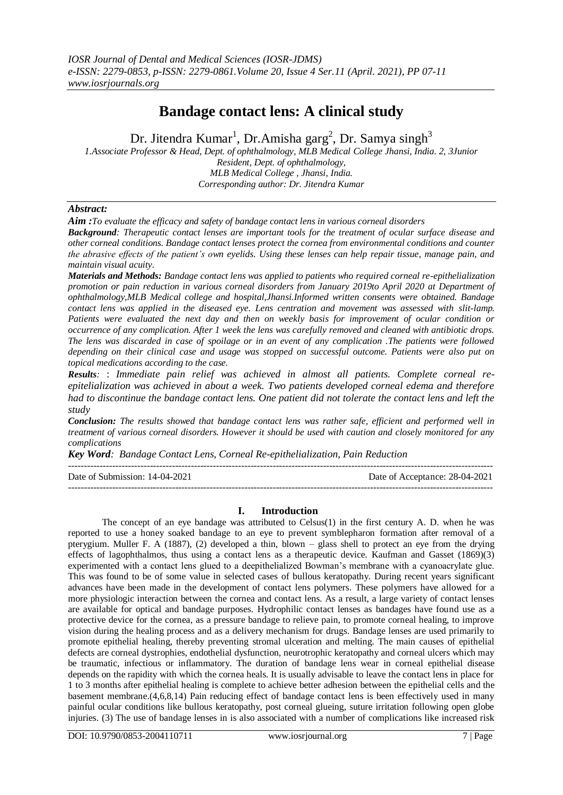# **Bandage contact lens: A clinical study**

Dr. Jitendra Kumar<sup>1</sup>, Dr.Amisha garg<sup>2</sup>, Dr. Samya singh<sup>3</sup>

*1.Associate Professor & Head, Dept. of ophthalmology, MLB Medical College Jhansi, India. 2, 3Junior Resident, Dept. of ophthalmology, MLB Medical College , Jhansi, India. Corresponding author: Dr. Jitendra Kumar*

# *Abstract:*

*Aim :To evaluate the efficacy and safety of bandage contact lens in various corneal disorders*

*Background: Therapeutic contact lenses are important tools for the treatment of ocular surface disease and other corneal conditions. Bandage contact lenses protect the cornea from environmental conditions and counter the abrasive effects of the patient's own eyelids. Using these lenses can help repair tissue, manage pain, and maintain visual acuity.*

*Materials and Methods: Bandage contact lens was applied to patients who required corneal re-epithelialization promotion or pain reduction in various corneal disorders from January 2019to April 2020 at Department of ophthalmology,MLB Medical college and hospital,Jhansi.Informed written consents were obtained. Bandage contact lens was applied in the diseased eye. Lens centration and movement was assessed with slit-lamp. Patients were evaluated the next day and then on weekly basis for improvement of ocular condition or occurrence of any complication. After 1 week the lens was carefully removed and cleaned with antibiotic drops. The lens was discarded in case of spoilage or in an event of any complication .The patients were followed depending on their clinical case and usage was stopped on successful outcome. Patients were also put on topical medications according to the case.*

*Results:* : *Immediate pain relief was achieved in almost all patients. Complete corneal reepitelialization was achieved in about a week. Two patients developed corneal edema and therefore had to discontinue the bandage contact lens. One patient did not tolerate the contact lens and left the study*

*Conclusion: The results showed that bandage contact lens was rather safe, efficient and performed well in treatment of various corneal disorders. However it should be used with caution and closely monitored for any complications*

*Key Word: Bandage Contact Lens, Corneal Re-epithelialization, Pain Reduction*

 $-1\leq i\leq n-1$ 

Date of Submission: 14-04-2021 Date of Acceptance: 28-04-2021

--------------------------------------------------------------------------------------------------------------------------------------- **I. Introduction**

The concept of an eye bandage was attributed to Celsus(1) in the first century A. D. when he was reported to use a honey soaked bandage to an eye to prevent symblepharon formation after removal of a pterygium. Muller F. A (1887), (2) developed a thin, blown – glass shell to protect an eye from the drying effects of lagophthalmos, thus using a contact lens as a therapeutic device. Kaufman and Gasset (1869)(3) experimented with a contact lens glued to a deepithelialized Bowman's membrane with a cyanoacrylate glue. This was found to be of some value in selected cases of bullous keratopathy. During recent years significant advances have been made in the development of contact lens polymers. These polymers have allowed for a more physiologic interaction between the cornea and contact lens. As a result, a large variety of contact lenses are available for optical and bandage purposes. Hydrophilic contact lenses as bandages have found use as a protective device for the cornea, as a pressure bandage to relieve pain, to promote corneal healing, to improve vision during the healing process and as a delivery mechanism for drugs. Bandage lenses are used primarily to promote epithelial healing, thereby preventing stromal ulceration and melting. The main causes of epithelial defects are corneal dystrophies, endothelial dysfunction, neurotrophic keratopathy and corneal ulcers which may be traumatic, infectious or inflammatory. The duration of bandage lens wear in corneal epithelial disease depends on the rapidity with which the cornea heals. It is usually advisable to leave the contact lens in place for 1 to 3 months after epithelial healing is complete to achieve better adhesion between the epithelial cells and the basement membrane.(4,6,8,14) Pain reducing effect of bandage contact lens is been effectively used in many painful ocular conditions like bullous keratopathy, post corneal glueing, suture irritation following open globe injuries. (3) The use of bandage lenses in is also associated with a number of complications like increased risk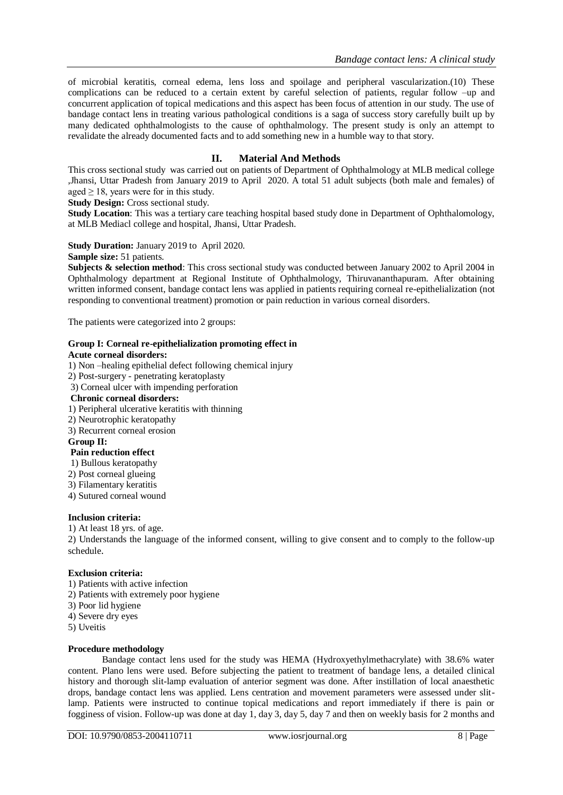of microbial keratitis, corneal edema, lens loss and spoilage and peripheral vascularization.(10) These complications can be reduced to a certain extent by careful selection of patients, regular follow –up and concurrent application of topical medications and this aspect has been focus of attention in our study. The use of bandage contact lens in treating various pathological conditions is a saga of success story carefully built up by many dedicated ophthalmologists to the cause of ophthalmology. The present study is only an attempt to revalidate the already documented facts and to add something new in a humble way to that story.

# **II. Material And Methods**

This cross sectional study was carried out on patients of Department of Ophthalmology at MLB medical college ,Jhansi, Uttar Pradesh from January 2019 to April 2020. A total 51 adult subjects (both male and females) of aged  $\geq$  18, years were for in this study.

**Study Design:** Cross sectional study.

**Study Location**: This was a tertiary care teaching hospital based study done in Department of Ophthalomology, at MLB Mediacl college and hospital, Jhansi, Uttar Pradesh.

## **Study Duration:** January 2019 to April 2020.

**Sample size:** 51 patients.

**Subjects & selection method:** This cross sectional study was conducted between January 2002 to April 2004 in Ophthalmology department at Regional Institute of Ophthalmology, Thiruvananthapuram. After obtaining written informed consent, bandage contact lens was applied in patients requiring corneal re-epithelialization (not responding to conventional treatment) promotion or pain reduction in various corneal disorders.

The patients were categorized into 2 groups:

### **Group I: Corneal re-epithelialization promoting effect in**

#### **Acute corneal disorders:**

1) Non –healing epithelial defect following chemical injury

2) Post-surgery - penetrating keratoplasty

3) Corneal ulcer with impending perforation

## **Chronic corneal disorders:**

1) Peripheral ulcerative keratitis with thinning

- 2) Neurotrophic keratopathy
- 3) Recurrent corneal erosion

#### **Group II:**

#### **Pain reduction effect**

1) Bullous keratopathy

- 2) Post corneal glueing
- 3) Filamentary keratitis
- 4) Sutured corneal wound

#### **Inclusion criteria:**

1) At least 18 yrs. of age.

2) Understands the language of the informed consent, willing to give consent and to comply to the follow-up schedule.

#### **Exclusion criteria:**

- 1) Patients with active infection
- 2) Patients with extremely poor hygiene
- 3) Poor lid hygiene
- 4) Severe dry eyes
- 5) Uveitis

### **Procedure methodology**

Bandage contact lens used for the study was HEMA (Hydroxyethylmethacrylate) with 38.6% water content. Plano lens were used. Before subjecting the patient to treatment of bandage lens, a detailed clinical history and thorough slit-lamp evaluation of anterior segment was done. After instillation of local anaesthetic drops, bandage contact lens was applied. Lens centration and movement parameters were assessed under slitlamp. Patients were instructed to continue topical medications and report immediately if there is pain or fogginess of vision. Follow-up was done at day 1, day 3, day 5, day 7 and then on weekly basis for 2 months and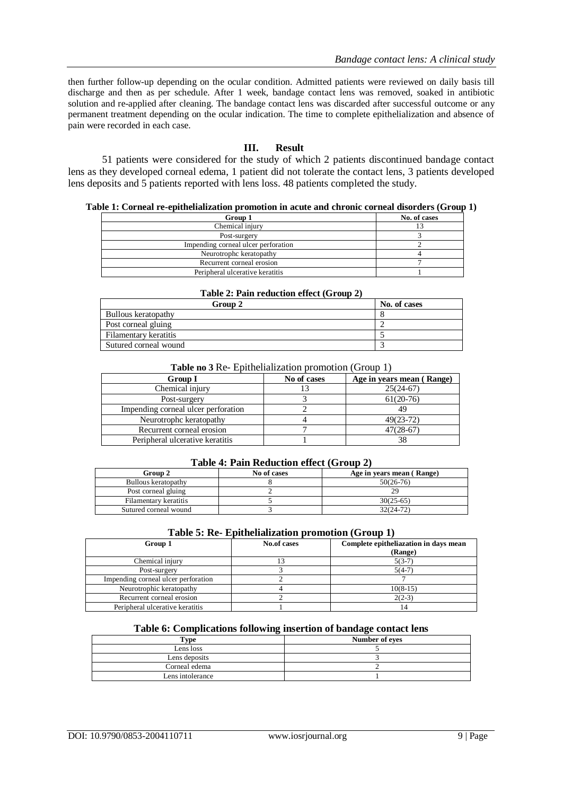then further follow-up depending on the ocular condition. Admitted patients were reviewed on daily basis till discharge and then as per schedule. After 1 week, bandage contact lens was removed, soaked in antibiotic solution and re-applied after cleaning. The bandage contact lens was discarded after successful outcome or any permanent treatment depending on the ocular indication. The time to complete epithelialization and absence of pain were recorded in each case.

## **III. Result**

51 patients were considered for the study of which 2 patients discontinued bandage contact lens as they developed corneal edema, 1 patient did not tolerate the contact lens, 3 patients developed lens deposits and 5 patients reported with lens loss. 48 patients completed the study.

### **Table 1: Corneal re-epithelialization promotion in acute and chronic corneal disorders (Group 1)**

| Group 1                             | No. of cases |
|-------------------------------------|--------------|
| Chemical injury                     |              |
| Post-surgery                        |              |
| Impending corneal ulcer perforation |              |
| Neurotrophc keratopathy             |              |
| Recurrent corneal erosion           |              |
| Peripheral ulcerative keratitis     |              |

| Table 2: Pain reduction effect (Group 2) |              |  |  |
|------------------------------------------|--------------|--|--|
| Group 2                                  | No. of cases |  |  |
| Bullous keratopathy                      |              |  |  |
| Post corneal gluing                      |              |  |  |
| Filamentary keratitis                    |              |  |  |
| Sutured corneal wound                    |              |  |  |

# **Table no 3** Re- Epithelialization promotion (Group 1)

| <b>Group I</b>                      | No of cases | Age in years mean (Range) |
|-------------------------------------|-------------|---------------------------|
| Chemical injury                     | 13          | $25(24-67)$               |
| Post-surgery                        |             | $61(20-76)$               |
| Impending corneal ulcer perforation |             |                           |
| Neurotrophc keratopathy             |             | $49(23-72)$               |
| Recurrent corneal erosion           |             | $47(28-67)$               |
| Peripheral ulcerative keratitis     |             |                           |

## **Table 4: Pain Reduction effect (Group 2)**

| Group 2               | No of cases | Age in years mean (Range) |
|-----------------------|-------------|---------------------------|
| Bullous keratopathy   |             | $50(26-76)$               |
| Post corneal gluing   |             |                           |
| Filamentary keratitis |             | $30(25-65)$               |
| Sutured corneal wound |             | 32(24-72)                 |

## **Table 5: Re- Epithelialization promotion (Group 1)**

| Group 1                             | No.of cases | Complete epitheliazation in days mean<br>(Range) |
|-------------------------------------|-------------|--------------------------------------------------|
|                                     |             |                                                  |
| Chemical injury                     |             | $5(3-7)$                                         |
| Post-surgery                        |             | $5(4-7)$                                         |
| Impending corneal ulcer perforation |             |                                                  |
| Neurotrophic keratopathy            |             | $10(8-15)$                                       |
| Recurrent corneal erosion           |             | $2(2-3)$                                         |
| Peripheral ulcerative keratitis     |             | 14                                               |
|                                     |             |                                                  |

# **Table 6: Complications following insertion of bandage contact lens**

| . vpe            | Number of eves |
|------------------|----------------|
| Lens loss        |                |
| Lens deposits    |                |
| Corneal edema    |                |
| Lens intolerance |                |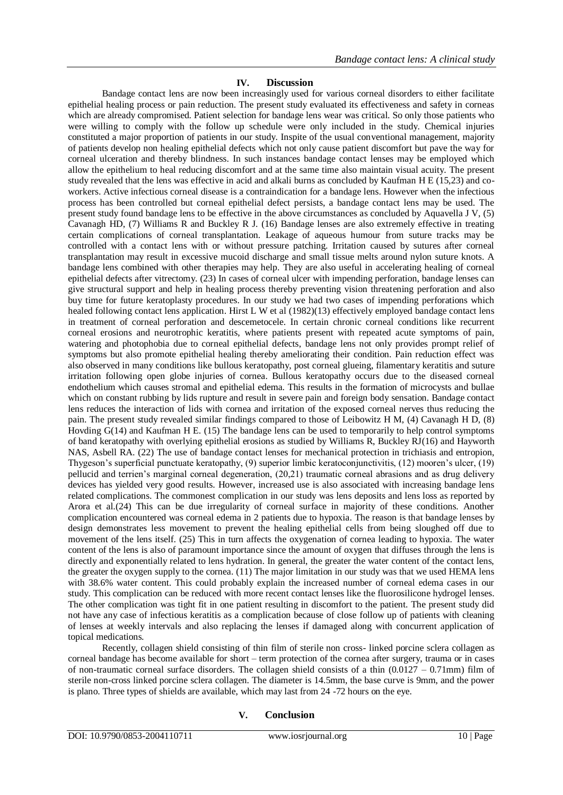# **IV. Discussion**

Bandage contact lens are now been increasingly used for various corneal disorders to either facilitate epithelial healing process or pain reduction. The present study evaluated its effectiveness and safety in corneas which are already compromised. Patient selection for bandage lens wear was critical. So only those patients who were willing to comply with the follow up schedule were only included in the study. Chemical injuries constituted a major proportion of patients in our study. Inspite of the usual conventional management, majority of patients develop non healing epithelial defects which not only cause patient discomfort but pave the way for corneal ulceration and thereby blindness. In such instances bandage contact lenses may be employed which allow the epithelium to heal reducing discomfort and at the same time also maintain visual acuity. The present study revealed that the lens was effective in acid and alkali burns as concluded by Kaufman H E (15,23) and coworkers. Active infectious corneal disease is a contraindication for a bandage lens. However when the infectious process has been controlled but corneal epithelial defect persists, a bandage contact lens may be used. The present study found bandage lens to be effective in the above circumstances as concluded by Aquavella J V, (5) Cavanagh HD, (7) Williams R and Buckley R J. (16) Bandage lenses are also extremely effective in treating certain complications of corneal transplantation. Leakage of aqueous humour from suture tracks may be controlled with a contact lens with or without pressure patching. Irritation caused by sutures after corneal transplantation may result in excessive mucoid discharge and small tissue melts around nylon suture knots. A bandage lens combined with other therapies may help. They are also useful in accelerating healing of corneal epithelial defects after vitrectomy. (23) In cases of corneal ulcer with impending perforation, bandage lenses can give structural support and help in healing process thereby preventing vision threatening perforation and also buy time for future keratoplasty procedures. In our study we had two cases of impending perforations which healed following contact lens application. Hirst L W et al (1982)(13) effectively employed bandage contact lens in treatment of corneal perforation and descemetocele. In certain chronic corneal conditions like recurrent corneal erosions and neurotrophic keratitis, where patients present with repeated acute symptoms of pain, watering and photophobia due to corneal epithelial defects, bandage lens not only provides prompt relief of symptoms but also promote epithelial healing thereby ameliorating their condition. Pain reduction effect was also observed in many conditions like bullous keratopathy, post corneal glueing, filamentary keratitis and suture irritation following open globe injuries of cornea. Bullous keratopathy occurs due to the diseased corneal endothelium which causes stromal and epithelial edema. This results in the formation of microcysts and bullae which on constant rubbing by lids rupture and result in severe pain and foreign body sensation. Bandage contact lens reduces the interaction of lids with cornea and irritation of the exposed corneal nerves thus reducing the pain. The present study revealed similar findings compared to those of Leibowitz H M, (4) Cavanagh H D, (8) Hovding G(14) and Kaufman H E. (15) The bandage lens can be used to temporarily to help control symptoms of band keratopathy with overlying epithelial erosions as studied by Williams R, Buckley RJ(16) and Hayworth NAS, Asbell RA. (22) The use of bandage contact lenses for mechanical protection in trichiasis and entropion, Thygeson's superficial punctuate keratopathy, (9) superior limbic keratoconjunctivitis, (12) mooren's ulcer, (19) pellucid and terrien's marginal corneal degeneration, (20,21) traumatic corneal abrasions and as drug delivery devices has yielded very good results. However, increased use is also associated with increasing bandage lens related complications. The commonest complication in our study was lens deposits and lens loss as reported by Arora et al.(24) This can be due irregularity of corneal surface in majority of these conditions. Another complication encountered was corneal edema in 2 patients due to hypoxia. The reason is that bandage lenses by design demonstrates less movement to prevent the healing epithelial cells from being sloughed off due to movement of the lens itself. (25) This in turn affects the oxygenation of cornea leading to hypoxia. The water content of the lens is also of paramount importance since the amount of oxygen that diffuses through the lens is directly and exponentially related to lens hydration. In general, the greater the water content of the contact lens, the greater the oxygen supply to the cornea. (11) The major limitation in our study was that we used HEMA lens with 38.6% water content. This could probably explain the increased number of corneal edema cases in our study. This complication can be reduced with more recent contact lenses like the fluorosilicone hydrogel lenses. The other complication was tight fit in one patient resulting in discomfort to the patient. The present study did not have any case of infectious keratitis as a complication because of close follow up of patients with cleaning of lenses at weekly intervals and also replacing the lenses if damaged along with concurrent application of topical medications.

Recently, collagen shield consisting of thin film of sterile non cross- linked porcine sclera collagen as corneal bandage has become available for short – term protection of the cornea after surgery, trauma or in cases of non-traumatic corneal surface disorders. The collagen shield consists of a thin  $(0.0127 - 0.71$ mm) film of sterile non-cross linked porcine sclera collagen. The diameter is 14.5mm, the base curve is 9mm, and the power is plano. Three types of shields are available, which may last from 24 -72 hours on the eye.

## **V. Conclusion**